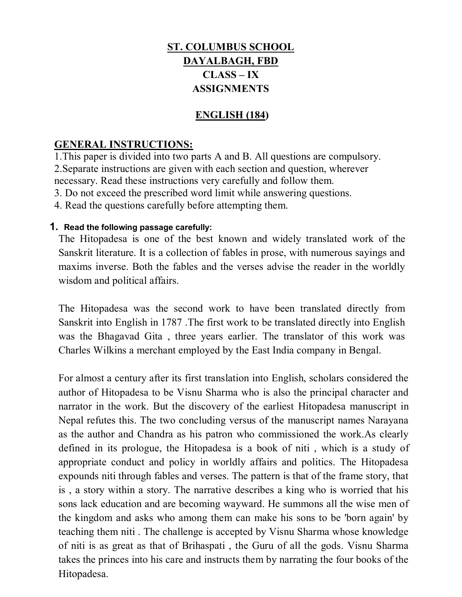# **ST. COLUMBUS SCHOOL DAYALBAGH, FBD CLASS – IX ASSIGNMENTS**

## **ENGLISH (184)**

### **GENERAL INSTRUCTIONS:**

1.This paper is divided into two parts A and B. All questions are compulsory. 2.Separate instructions are given with each section and question, wherever necessary. Read these instructions very carefully and follow them.

3. Do not exceed the prescribed word limit while answering questions.

4. Read the questions carefully before attempting them.

#### **1. Read the following passage carefully:**

The Hitopadesa is one of the best known and widely translated work of the Sanskrit literature. It is a collection of fables in prose, with numerous sayings and maxims inverse. Both the fables and the verses advise the reader in the worldly wisdom and political affairs.

The Hitopadesa was the second work to have been translated directly from Sanskrit into English in 1787 .The first work to be translated directly into English was the Bhagavad Gita , three years earlier. The translator of this work was Charles Wilkins a merchant employed by the East India company in Bengal.

For almost a century after its first translation into English, scholars considered the author of Hitopadesa to be Visnu Sharma who is also the principal character and narrator in the work. But the discovery of the earliest Hitopadesa manuscript in Nepal refutes this. The two concluding versus of the manuscript names Narayana as the author and Chandra as his patron who commissioned the work.As clearly defined in its prologue, the Hitopadesa is a book of niti , which is a study of appropriate conduct and policy in worldly affairs and politics. The Hitopadesa expounds niti through fables and verses. The pattern is that of the frame story, that is , a story within a story. The narrative describes a king who is worried that his sons lack education and are becoming wayward. He summons all the wise men of the kingdom and asks who among them can make his sons to be 'born again' by teaching them niti . The challenge is accepted by Visnu Sharma whose knowledge of niti is as great as that of Brihaspati , the Guru of all the gods. Visnu Sharma takes the princes into his care and instructs them by narrating the four books of the Hitopadesa.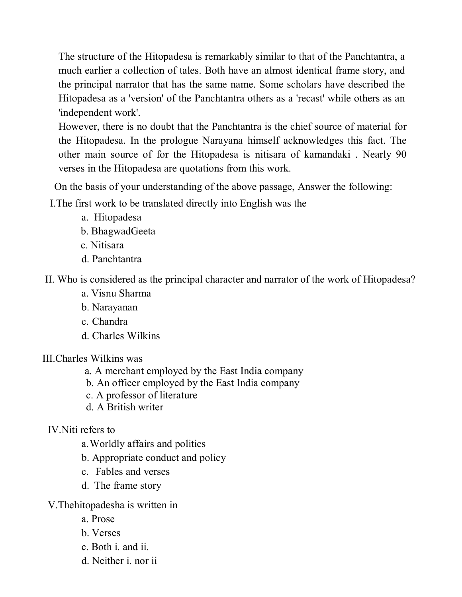The structure of the Hitopadesa is remarkably similar to that of the Panchtantra, a much earlier a collection of tales. Both have an almost identical frame story, and the principal narrator that has the same name. Some scholars have described the Hitopadesa as a 'version' of the Panchtantra others as a 'recast' while others as an 'independent work'.

However, there is no doubt that the Panchtantra is the chief source of material for the Hitopadesa. In the prologue Narayana himself acknowledges this fact. The other main source of for the Hitopadesa is nitisara of kamandaki . Nearly 90 verses in the Hitopadesa are quotations from this work.

On the basis of your understanding of the above passage, Answer the following:

I.The first work to be translated directly into English was the

- a. Hitopadesa
- b. BhagwadGeeta
- c. Nitisara
- d. Panchtantra

II. Who is considered as the principal character and narrator of the work of Hitopadesa?

- a. Visnu Sharma
- b. Narayanan
- c. Chandra
- d. Charles Wilkins

III.Charles Wilkins was

- a. A merchant employed by the East India company
- b. An officer employed by the East India company
- c. A professor of literature
- d. A British writer

# IV.Niti refers to

- a.Worldly affairs and politics
- b. Appropriate conduct and policy
- c. Fables and verses
- d. The frame story
- V.Thehitopadesha is written in
	- a. Prose
	- b. Verses
	- c. Both i. and ii.
	- d. Neither i. nor ii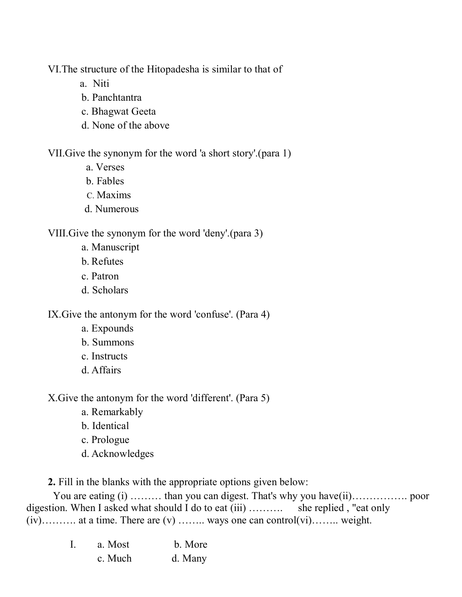VI.The structure of the Hitopadesha is similar to that of

- a. Niti
- b. Panchtantra
- c. Bhagwat Geeta
- d. None of the above

VII.Give the synonym for the word 'a short story'.(para 1)

- a. Verses
- b. Fables
- C. Maxims
- d. Numerous

# VIII.Give the synonym for the word 'deny'.(para 3)

- a. Manuscript
- b. Refutes
- c. Patron
- d. Scholars

IX.Give the antonym for the word 'confuse'. (Para 4)

- a. Expounds
- b. Summons
- c. Instructs
- d. Affairs

X.Give the antonym for the word 'different'. (Para 5)

- a. Remarkably
- b. Identical
- c. Prologue
- d. Acknowledges

**2.** Fill in the blanks with the appropriate options given below:

You are eating (i) ……… than you can digest. That's why you have (ii)……………… poor digestion. When I asked what should I do to eat (iii) ………. she replied , "eat only  $(iv)$ ……….. at a time. There are  $(v)$  …….. ways one can control $(vi)$ ……. weight.

|  | a. Most | b. More |
|--|---------|---------|
|  | c. Much | d. Many |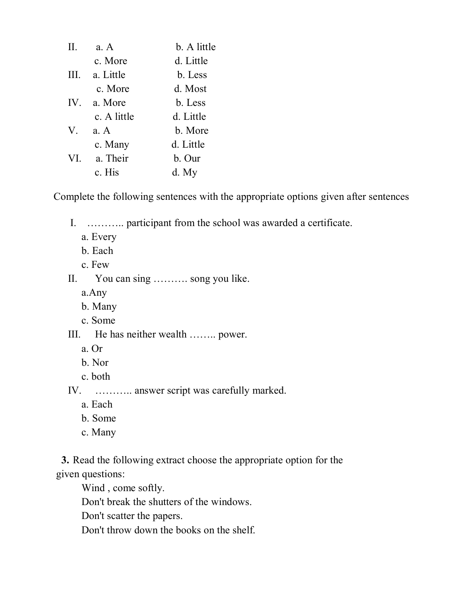| Π.  | a. A        | b. A little |
|-----|-------------|-------------|
|     | c. More     | d. Little   |
| Ш.  | a. Little   | b. Less     |
|     | c. More     | d. Most     |
| IV. | a. More     | b. Less     |
|     | c. A little | d. Little   |
| V.  | a. A        | b. More     |
|     | c. Many     | d. Little   |
| VI. | a. Their    | b. Our      |
|     | c. His      | d. My       |

Complete the following sentences with the appropriate options given after sentences

I. ……….. participant from the school was awarded a certificate.

- a. Every
- b. Each
- c. Few
- II. You can sing ………. song you like.
	- a.Any
	- b. Many
	- c. Some
- III. He has neither wealth …….. power.
	- a. Or
	- b. Nor
	- c. both

IV. ……….. answer script was carefully marked.

- a. Each
- b. Some
- c. Many

**3.** Read the following extract choose the appropriate option for the given questions:

Wind , come softly.

Don't break the shutters of the windows.

Don't scatter the papers.

Don't throw down the books on the shelf.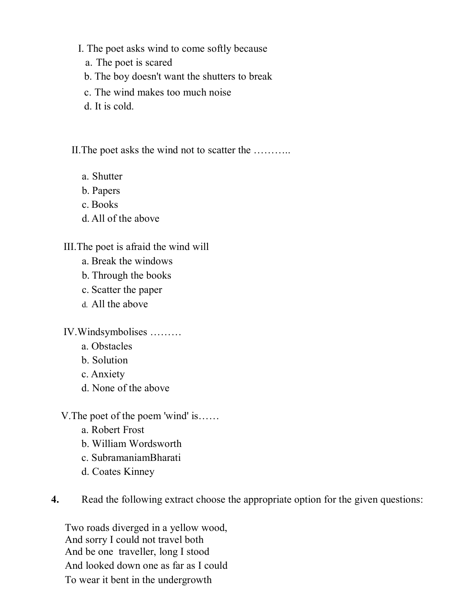- I. The poet asks wind to come softly because
	- a. The poet is scared
	- b. The boy doesn't want the shutters to break
	- c. The wind makes too much noise
	- d. It is cold.

II.The poet asks the wind not to scatter the ………..

- a. Shutter
- b. Papers
- c. Books
- d. All of the above

# III.The poet is afraid the wind will

- a. Break the windows
- b. Through the books
- c. Scatter the paper
- d. All the above

IV.Windsymbolises ………

- a. Obstacles
- b. Solution
- c. Anxiety
- d. None of the above
- V.The poet of the poem 'wind' is……
	- a. Robert Frost
	- b. William Wordsworth
	- c. SubramaniamBharati
	- d. Coates Kinney

**4.** Read the following extract choose the appropriate option for the given questions:

Two roads diverged in a yellow wood, And sorry I could not travel both And be one traveller, long I stood And looked down one as far as I could To wear it bent in the undergrowth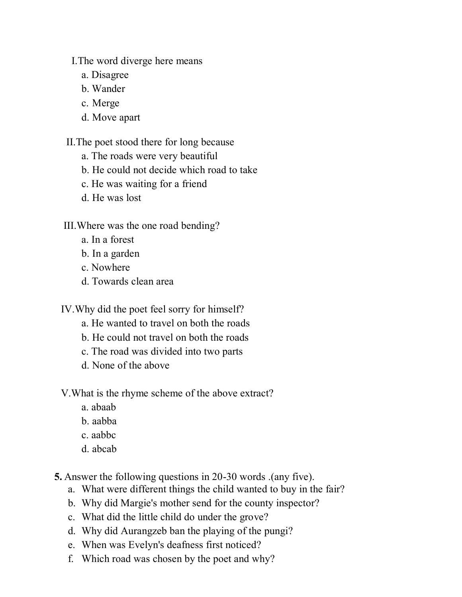I.The word diverge here means

- a. Disagree
- b. Wander
- c. Merge
- d. Move apart

II.The poet stood there for long because

- a. The roads were very beautiful
- b. He could not decide which road to take
- c. He was waiting for a friend
- d. He was lost

# III.Where was the one road bending?

- a. In a forest
- b. In a garden
- c. Nowhere
- d. Towards clean area

IV.Why did the poet feel sorry for himself?

- a. He wanted to travel on both the roads
- b. He could not travel on both the roads
- c. The road was divided into two parts
- d. None of the above
- V.What is the rhyme scheme of the above extract?
	- a. abaab
	- b. aabba
	- c. aabbc
	- d. abcab

**5.** Answer the following questions in 20-30 words .(any five).

- a. What were different things the child wanted to buy in the fair?
- b. Why did Margie's mother send for the county inspector?
- c. What did the little child do under the grove?
- d. Why did Aurangzeb ban the playing of the pungi?
- e. When was Evelyn's deafness first noticed?
- f. Which road was chosen by the poet and why?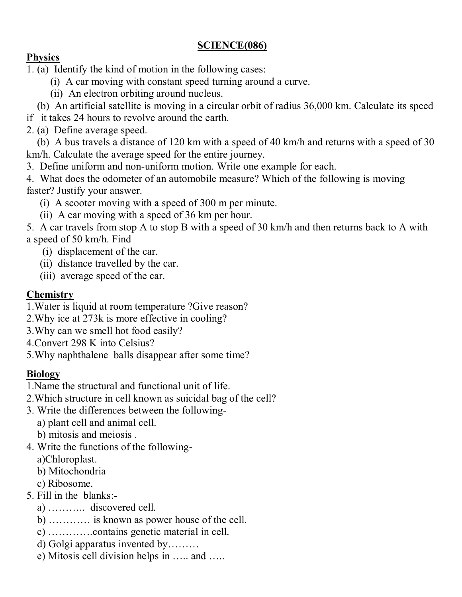# **SCIENCE(086)**

## **Physics**

1. (a) Identify the kind of motion in the following cases:

- (i) A car moving with constant speed turning around a curve.
- (ii) An electron orbiting around nucleus.
- (b) An artificial satellite is moving in a circular orbit of radius 36,000 km. Calculate its speed
- if it takes 24 hours to revolve around the earth.
- 2. (a) Define average speed.

 (b) A bus travels a distance of 120 km with a speed of 40 km/h and returns with a speed of 30 km/h. Calculate the average speed for the entire journey.

- 3. Define uniform and non-uniform motion. Write one example for each.
- 4. What does the odometer of an automobile measure? Which of the following is moving faster? Justify your answer.
	- (i) A scooter moving with a speed of 300 m per minute.
	- (ii) A car moving with a speed of 36 km per hour.

5. A car travels from stop A to stop B with a speed of 30 km/h and then returns back to A with a speed of 50 km/h. Find

- (i) displacement of the car.
- (ii) distance travelled by the car.
- (iii) average speed of the car.

# **Chemistry**

- 1.Water is liquid at room temperature ?Give reason?
- 2.Why ice at 273k is more effective in cooling?
- 3.Why can we smell hot food easily?
- 4.Convert 298 K into Celsius?
- 5.Why naphthalene balls disappear after some time?

# **Biology**

- 1.Name the structural and functional unit of life.
- 2.Which structure in cell known as suicidal bag of the cell?
- 3. Write the differences between the following
	- a) plant cell and animal cell.
	- b) mitosis and meiosis .
- 4. Write the functions of the following
	- a)Chloroplast.
	- b) Mitochondria
	- c) Ribosome.
- 5. Fill in the blanks:
	- a) ……….. discovered cell.
	- b) ………… is known as power house of the cell.
	- c) ………….contains genetic material in cell.
	- d) Golgi apparatus invented by………
	- e) Mitosis cell division helps in ….. and …..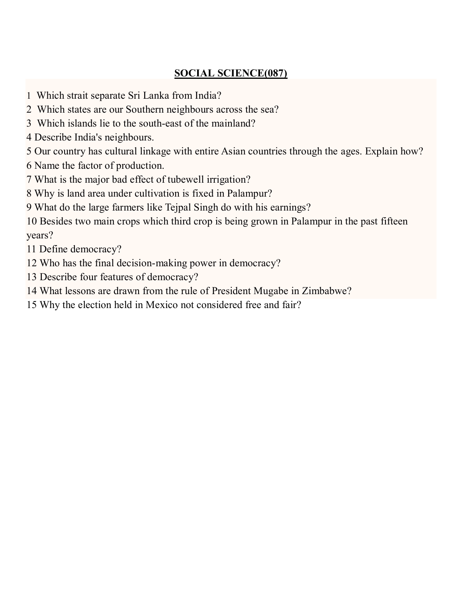# **SOCIAL SCIENCE(087)**

- 1 Which strait separate Sri Lanka from India?
- 2 Which states are our Southern neighbours across the sea?
- 3 Which islands lie to the south-east of the mainland?
- 4 Describe India's neighbours.
- 5 Our country has cultural linkage with entire Asian countries through the ages. Explain how?
- 6 Name the factor of production.
- 7 What is the major bad effect of tubewell irrigation?
- 8 Why is land area under cultivation is fixed in Palampur?
- 9 What do the large farmers like Tejpal Singh do with his earnings?
- 10 Besides two main crops which third crop is being grown in Palampur in the past fifteen years?
- 11 Define democracy?
- 12 Who has the final decision-making power in democracy?
- 13 Describe four features of democracy?
- 14 What lessons are drawn from the rule of President Mugabe in Zimbabwe?
- 15 Why the election held in Mexico not considered free and fair?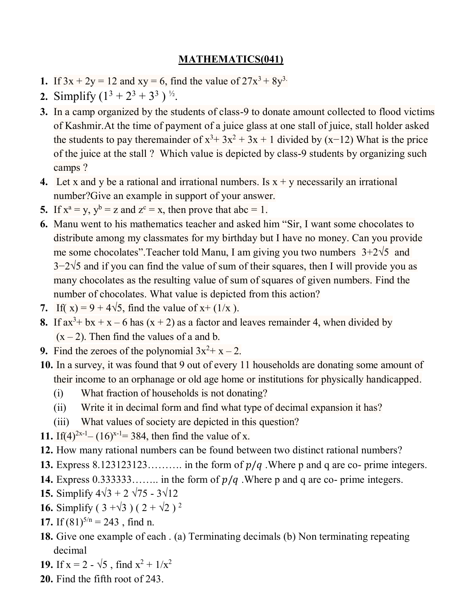### **MATHEMATICS(041)**

- **1.** If  $3x + 2y = 12$  and  $xy = 6$ , find the value of  $27x^3 + 8y^3$ .
- **2.** Simplify  $(1^3 + 2^3 + 3^3)^{\frac{1}{2}}$ .
- **3.** In a camp organized by the students of class-9 to donate amount collected to flood victims of Kashmir.At the time of payment of a juice glass at one stall of juice, stall holder asked the students to pay theremainder of  $x^3$ + 3x<sup>2</sup> + 3x + 1 divided by (x−12) What is the price of the juice at the stall ? Which value is depicted by class-9 students by organizing such camps ?
- **4.** Let x and y be a rational and irrational numbers. Is  $x + y$  necessarily an irrational number?Give an example in support of your answer.
- **5.** If  $x^a = y$ ,  $y^b = z$  and  $z^c = x$ , then prove that abc = 1.
- **6.** Manu went to his mathematics teacher and asked him "Sir, I want some chocolates to distribute among my classmates for my birthday but I have no money. Can you provide me some chocolates". Teacher told Manu, I am giving you two numbers  $3+2\sqrt{5}$  and  $3-2\sqrt{5}$  and if you can find the value of sum of their squares, then I will provide you as many chocolates as the resulting value of sum of squares of given numbers. Find the number of chocolates. What value is depicted from this action?
- **7.** If( x) = 9 + 4 $\sqrt{5}$ , find the value of x+ (1/x ).
- **8.** If  $ax^3 + bx + x 6$  has  $(x + 2)$  as a factor and leaves remainder 4, when divided by  $(x - 2)$ . Then find the values of a and b.
- **9.** Find the zeroes of the polynomial  $3x^2 + x 2$ .
- **10.** In a survey, it was found that 9 out of every 11 households are donating some amount of their income to an orphanage or old age home or institutions for physically handicapped.
	- (i) What fraction of households is not donating?
	- (ii) Write it in decimal form and find what type of decimal expansion it has?
	- (iii) What values of society are depicted in this question?
- **11.** If(4)<sup>2x-1</sup>– (16)<sup>x-1</sup>= 384, then find the value of x.
- **12.** How many rational numbers can be found between two distinct rational numbers?
- **13.** Express  $8.123123123...$  in the form of  $p/q$ . Where p and q are co- prime integers.
- **14.** Express  $0.3333333...$  in the form of  $p/q$ . Where p and q are co- prime integers.
- **15.** Simplify  $4\sqrt{3} + 2\sqrt{75} 3\sqrt{12}$
- **16.** Simplify (  $3 + \sqrt{3}$  ) (  $2 + \sqrt{2}$  )<sup>2</sup>
- **17.** If  $(81)^{5/n} = 243$ , find n.
- **18.** Give one example of each . (a) Terminating decimals (b) Non terminating repeating decimal
- **19.** If  $x = 2 \sqrt{5}$ , find  $x^2 + 1/x^2$
- **20.** Find the fifth root of 243.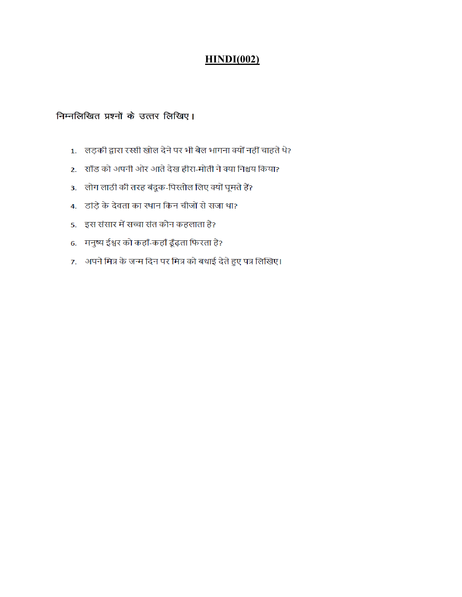### **HINDI(002)**

#### निम्नलिखित प्रश्नों के उत्तर लिखिए।

- 1. लड़की द्वारा रस्सी खोल देने पर भी बैल भागना क्यों नहीं चाहते थे?
- 2. साँड को अपनी ओर आते देख हीरा-मोती ने क्या निश्चय किया?
- 3. लोग लाठी की तरह बंदूक-पिस्तौल लिए क्यों घूमते हैं?
- 4. डांड़े के देवता का स्थान किन चीजों से सजा था?
- 5. इस संसार में सच्चा संत कौन कहलाता है?
- 6. मनुष्य ईश्वर को कहाँ-कहाँ ढूँढ़ता फिरता है?
- 7. अपने मित्र के जन्म दिन पर मित्र को बधाई देते हुए पत्र लिखिए।